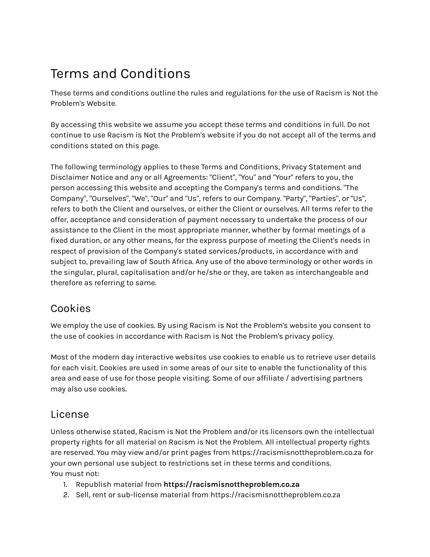# Terms and Conditions

These terms and conditions outline the rules and regulations for the use of Racism is Not the Problem's Website.

By accessing this website we assume you accept these terms and conditions in full. Do not continue to use Racism is Not the Problem's website if you do not accept all of the terms and conditions stated on this page.

The following terminology applies to these Terms and Conditions, Privacy Statement and Disclaimer Notice and any or all Agreements: "Client", "You" and "Your" refers to you, the person accessing this website and accepting the Company's terms and conditions. "The Company", "Ourselves", "We", "Our" and "Us", refers to our Company. "Party", "Parties", or "Us", refers to both the Client and ourselves, or either the Client or ourselves. All terms refer to the offer, acceptance and consideration of payment necessary to undertake the process of our assistance to the Client in the most appropriate manner, whether by formal meetings of a fixed duration, or any other means, for the express purpose of meeting the Client's needs in respect of provision of the Company's stated services/products, in accordance with and subject to, prevailing law of South Africa. Any use of the above terminology or other words in the singular, plural, capitalisation and/or he/she or they, are taken as interchangeable and therefore as referring to same.

## Cookies

We employ the use of cookies. By using Racism is Not the Problem's website you consent to the use of cookies in accordance with Racism is Not the Problem's privacy policy.

Most of the modern day interactive websites use cookies to enable us to retrieve user details for each visit. Cookies are used in some areas of our site to enable the functionality of this area and ease of use for those people visiting. Some of our affiliate / advertising partners may also use cookies.

#### **License**

Unless otherwise stated, Racism is Not the Problem and/or its licensors own the intellectual property rights for all material on Racism is Not the Problem. All intellectual property rights are reserved. You may view and/or print pages from https://racismisnottheproblem.co.za for your own personal use subject to restrictions set in these terms and conditions. You must not:

- 1. Republish material from **https://racismisnottheproblem.co.za**
- 2. Sell, rent or sub-license material from https://racismisnottheproblem.co.za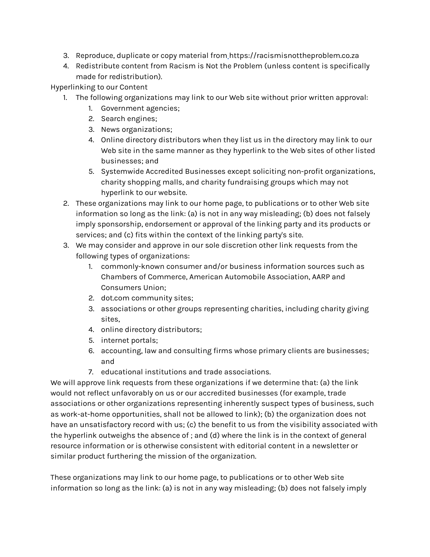- 3. Reproduce, duplicate or copy material from https://racismisnottheproblem.co.za
- 4. Redistribute content from Racism is Not the Problem (unless content is specifically made for redistribution).

Hyperlinking to our Content

- 1. The following organizations may link to our Web site without prior written approval:
	- 1. Government agencies;
	- 2. Search engines;
	- 3. News organizations;
	- 4. Online directory distributors when they list us in the directory may link to our Web site in the same manner as they hyperlink to the Web sites of other listed businesses; and
	- 5. Systemwide Accredited Businesses except soliciting non-profit organizations, charity shopping malls, and charity fundraising groups which may not hyperlink to our website.
- 2. These organizations may link to our home page, to publications or to other Web site information so long as the link: (a) is not in any way misleading; (b) does not falsely imply sponsorship, endorsement or approval of the linking party and its products or services; and (c) fits within the context of the linking party's site.
- 3. We may consider and approve in our sole discretion other link requests from the following types of organizations:
	- 1. commonly-known consumer and/or business information sources such as Chambers of Commerce, American Automobile Association, AARP and Consumers Union;
	- 2. dot.com community sites;
	- 3. associations or other groups representing charities, including charity giving sites,
	- 4. online directory distributors;
	- 5. internet portals;
	- 6. accounting, law and consulting firms whose primary clients are businesses; and
	- 7. educational institutions and trade associations.

We will approve link requests from these organizations if we determine that: (a) the link would not reflect unfavorably on us or our accredited businesses (for example, trade associations or other organizations representing inherently suspect types of business, such as work-at-home opportunities, shall not be allowed to link); (b) the organization does not have an unsatisfactory record with us; (c) the benefit to us from the visibility associated with the hyperlink outweighs the absence of ; and (d) where the link is in the context of general resource information or is otherwise consistent with editorial content in a newsletter or similar product furthering the mission of the organization.

These organizations may link to our home page, to publications or to other Web site information so long as the link: (a) is not in any way misleading; (b) does not falsely imply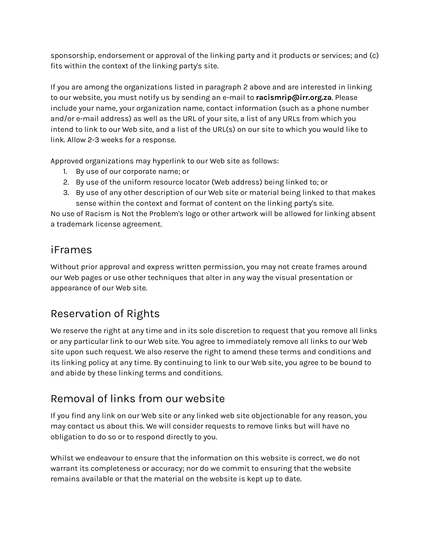sponsorship, endorsement or approval of the linking party and it products or services; and (c) fits within the context of the linking party's site.

If you are among the organizations listed in paragraph 2 above and are interested in linking to our website, you must notify us by sending an e-mail to **racismrip@irr.org.za**. Please include your name, your organization name, contact information (such as a phone number and/or e-mail address) as well as the URL of your site, a list of any URLs from which you intend to link to our Web site, and a list of the URL(s) on our site to which you would like to link. Allow 2-3 weeks for a response.

Approved organizations may hyperlink to our Web site as follows:

- 1. By use of our corporate name; or
- 2. By use of the uniform resource locator (Web address) being linked to; or
- 3. By use of any other description of our Web site or material being linked to that makes sense within the context and format of content on the linking party's site.

No use of Racism is Not the Problem's logo or other artwork will be allowed for linking absent a trademark license agreement.

#### iFrames

Without prior approval and express written permission, you may not create frames around our Web pages or use other techniques that alter in any way the visual presentation or appearance of our Web site.

# Reservation of Rights

We reserve the right at any time and in its sole discretion to request that you remove all links or any particular link to our Web site. You agree to immediately remove all links to our Web site upon such request. We also reserve the right to amend these terms and conditions and its linking policy at any time. By continuing to link to our Web site, you agree to be bound to and abide by these linking terms and conditions.

## Removal of links from our website

If you find any link on our Web site or any linked web site objectionable for any reason, you may contact us about this. We will consider requests to remove links but will have no obligation to do so or to respond directly to you.

Whilst we endeavour to ensure that the information on this website is correct, we do not warrant its completeness or accuracy; nor do we commit to ensuring that the website remains available or that the material on the website is kept up to date.